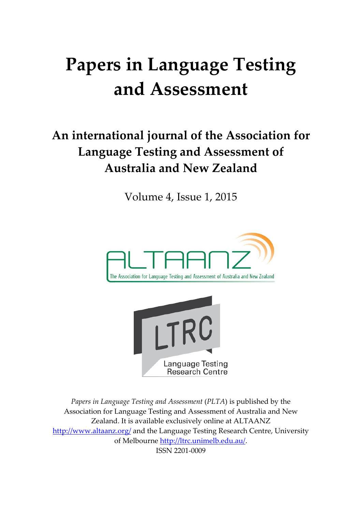# **Papers in Language Testing and Assessment**

# **An international journal of the Association for Language Testing and Assessment of Australia and New Zealand**

Volume 4, Issue 1, 2015





*Papers in Language Testing and Assessment* (*PLTA*) is published by the Association for Language Testing and Assessment of Australia and New Zealand. It is available exclusively online at ALTAANZ <http://www.altaanz.org/> and the Language Testing Research Centre, University of Melbourne [http://ltrc.unimelb.edu.au/.](http://ltrc.unimelb.edu.au/) ISSN 2201-0009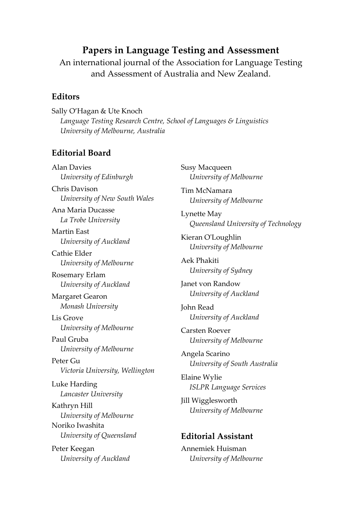#### **Papers in Language Testing and Assessment**

An international journal of the Association for Language Testing and Assessment of Australia and New Zealand.

#### **Editors**

Sally O'Hagan & Ute Knoch *Language Testing Research Centre, School of Languages & Linguistics University of Melbourne, Australia*

#### **Editorial Board**

Alan Davies *University of Edinburgh*  Chris Davison *University of New South Wales* Ana Maria Ducasse *La Trobe University* Martin East *University of Auckland* Cathie Elder *University of Melbourne* Rosemary Erlam *University of Auckland* Margaret Gearon *Monash University* Lis Grove *University of Melbourne* Paul Gruba *University of Melbourne* Peter Gu *Victoria University, Wellington* Luke Harding *Lancaster University* Kathryn Hill *University of Melbourne* Noriko Iwashita *University of Queensland* Peter Keegan *University of Auckland*

Susy Macqueen *University of Melbourne* Tim McNamara *University of Melbourne* Lynette May *Queensland University of Technology* Kieran O'Loughlin *University of Melbourne* Aek Phakiti *University of Sydney* Janet von Randow *University of Auckland* John Read *University of Auckland* Carsten Roever *University of Melbourne* Angela Scarino *University of South Australia* Elaine Wylie *ISLPR Language Services* Jill Wigglesworth *University of Melbourne* **Editorial Assistant** Annemiek Huisman

*University of Melbourne*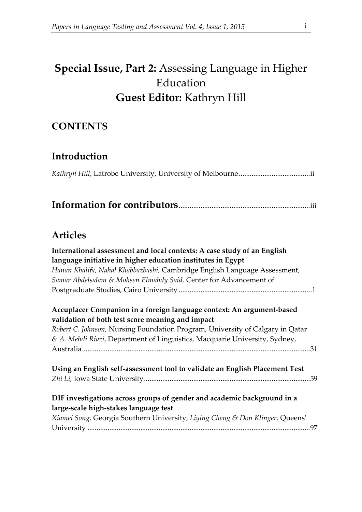## **Special Issue, Part 2:** Assessing Language in Higher Education **Guest Editor:** Kathryn Hill

### **CONTENTS**

#### **Introduction**

|--|

### **Information for contributors**........................................................................iii

#### **Articles**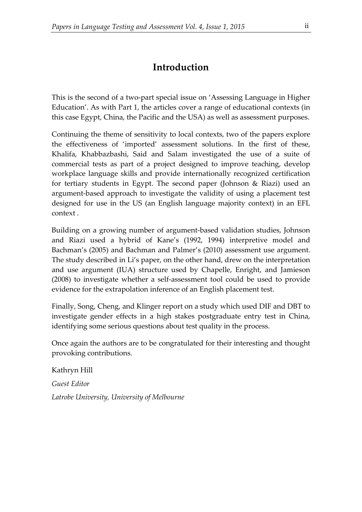## **Introduction**

This is the second of a two-part special issue on 'Assessing Language in Higher Education'. As with Part 1, the articles cover a range of educational contexts (in this case Egypt, China, the Pacific and the USA) as well as assessment purposes.

Continuing the theme of sensitivity to local contexts, two of the papers explore the effectiveness of 'imported' assessment solutions. In the first of these, Khalifa, Khabbazbashi, Said and Salam investigated the use of a suite of commercial tests as part of a project designed to improve teaching, develop workplace language skills and provide internationally recognized certification for tertiary students in Egypt. The second paper (Johnson & Riazi) used an argument-based approach to investigate the validity of using a placement test designed for use in the US (an English language majority context) in an EFL context .

Building on a growing number of argument-based validation studies, Johnson and Riazi used a hybrid of Kane's (1992, 1994) interpretive model and Bachman's (2005) and Bachman and Palmer's (2010) assessment use argument. The study described in Li's paper, on the other hand, drew on the interpretation and use argument (IUA) structure used by Chapelle, Enright, and Jamieson (2008) to investigate whether a self-assessment tool could be used to provide evidence for the extrapolation inference of an English placement test.

Finally, Song, Cheng, and Klinger report on a study which used DIF and DBT to investigate gender effects in a high stakes postgraduate entry test in China, identifying some serious questions about test quality in the process.

Once again the authors are to be congratulated for their interesting and thought provoking contributions.

Kathryn Hill *Guest Editor Latrobe University, University of Melbourne*